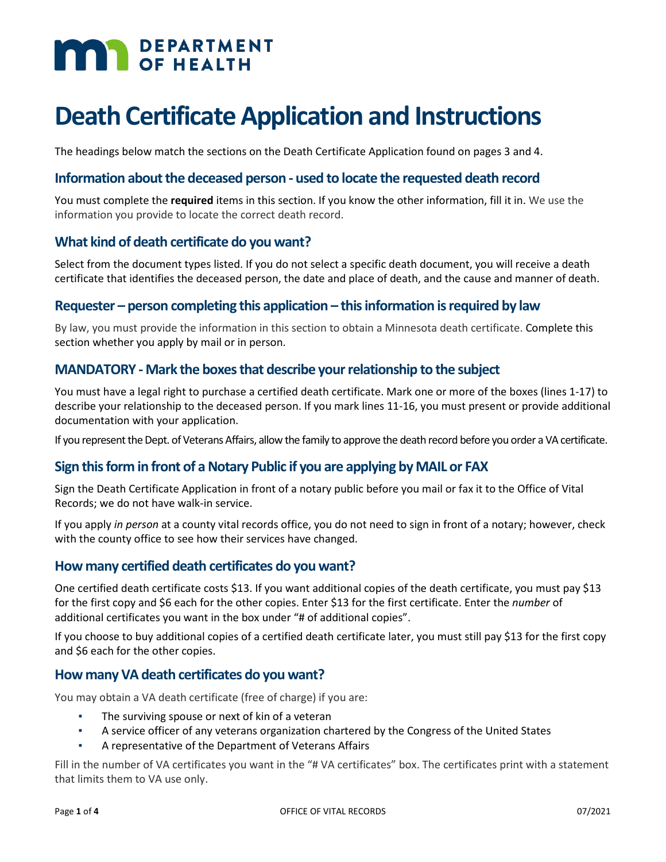# **MAR** DEPARTMENT

## **Death Certificate Application and Instructions**

The headings below match the sections on the Death Certificate Application found on pages 3 and 4.

#### **Information about the deceased person - used to locate the requested death record**

You must complete the **required** items in this section. If you know the other information, fill it in. We use the information you provide to locate the correct death record.

#### **What kind of death certificate do you want?**

Select from the document types listed. If you do not select a specific death document, you will receive a death certificate that identifies the deceased person, the date and place of death, and the cause and manner of death.

#### **Requester – person completing this application – this information is required by law**

By law, you must provide the information in this section to obtain a Minnesota death certificate. Complete this section whether you apply by mail or in person.

#### **MANDATORY - Mark the boxes that describe your relationship to the subject**

You must have a legal right to purchase a certified death certificate. Mark one or more of the boxes (lines 1-17) to describe your relationship to the deceased person. If you mark lines 11-16, you must present or provide additional documentation with your application.

If you represent the Dept. of Veterans Affairs, allow the family to approve the death record before you order a VA certificate.

#### **Sign this form in front of a Notary Public if you are applying by MAIL or FAX**

Sign the Death Certificate Application in front of a notary public before you mail or fax it to the Office of Vital Records; we do not have walk-in service.

If you apply *in person* at a county vital records office, you do not need to sign in front of a notary; however, check with the county office to see how their services have changed.

#### **How many certified death certificates do you want?**

One certified death certificate costs \$13. If you want additional copies of the death certificate, you must pay \$13 for the first copy and \$6 each for the other copies. Enter \$13 for the first certificate. Enter the *number* of additional certificates you want in the box under "# of additional copies".

If you choose to buy additional copies of a certified death certificate later, you must still pay \$13 for the first copy and \$6 each for the other copies.

#### **How many VA death certificates do you want?**

You may obtain a VA death certificate (free of charge) if you are:

- The surviving spouse or next of kin of a veteran
- A service officer of any veterans organization chartered by the Congress of the United States
- A representative of the Department of Veterans Affairs

Fill in the number of VA certificates you want in the "# VA certificates" box. The certificates print with a statement that limits them to VA use only.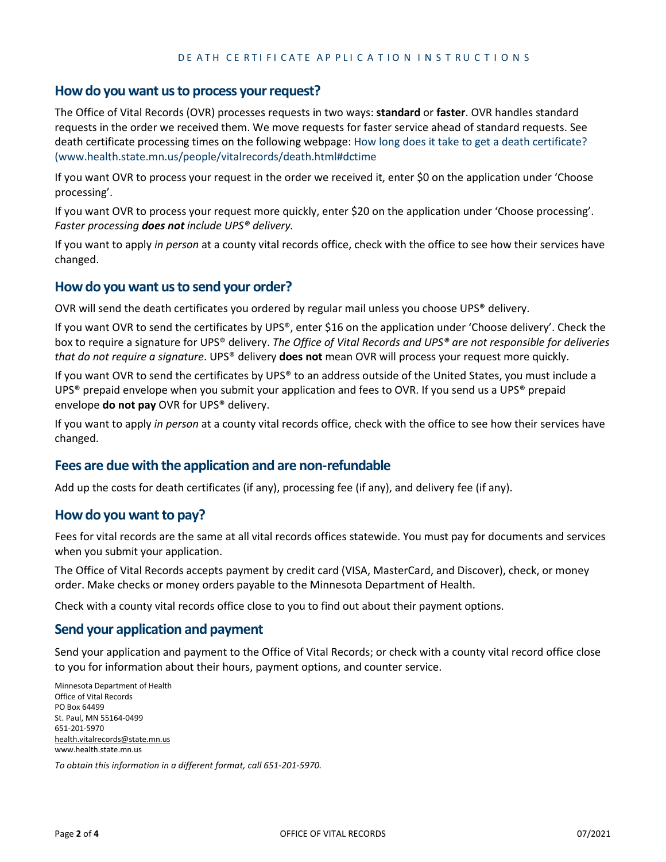#### **Howdo you want us to process your request?**

The Office of Vital Records (OVR) processes requests in two ways: **standard** or **faster**. OVR handles standard requests in the order we received them. We move requests for faster service ahead of standard requests. See death certificate processing times on the following webpage: How long does it take to get a death certificate? ([www.health.state.mn.us/people/vitalrecords/death.html#dctime](http://www.health.state.mn.us/people/vitalrecords/death.html#dctime)

If you want OVR to process your request in the order we received it, enter \$0 on the application under 'Choose processing'.

If you want OVR to process your request more quickly, enter \$20 on the application under 'Choose processing'. *Faster processing does not include UPS® delivery.*

If you want to apply *in person* at a county vital records office, check with the office to see how their services have changed.

#### **How do you want us to send your order?**

OVR will send the death certificates you ordered by regular mail unless you choose UPS® delivery.

If you want OVR to send the certificates by UPS®, enter \$16 on the application under 'Choose delivery'. Check the box to require a signature for UPS® delivery. *The Office of Vital Records and UPS® are not responsible for deliveries that do not require a signature*. UPS® delivery **does not** mean OVR will process your request more quickly.

If you want OVR to send the certificates by UPS® to an address outside of the United States, you must include a UPS<sup>®</sup> prepaid envelope when you submit your application and fees to OVR. If you send us a UPS<sup>®</sup> prepaid envelope **do not pay** OVR for UPS® delivery.

If you want to apply *in person* at a county vital records office, check with the office to see how their services have changed.

#### **Fees are due with the application and are non-refundable**

Add up the costs for death certificates (if any), processing fee (if any), and delivery fee (if any).

#### **Howdo you want to pay?**

Fees for vital records are the same at all vital records offices statewide. You must pay for documents and services when you submit your application.

The Office of Vital Records accepts payment by credit card (VISA, MasterCard, and Discover), check, or money order. Make checks or money orders payable to the Minnesota Department of Health.

Check with a county vital records office close to you to find out about their payment options.

#### **Send your application and payment**

Send your application and payment to the Office of Vital Records; or check with a county vital record office close to you for information about their hours, payment options, and counter service.

Minnesota Department of Health Office of Vital Records PO Box 64499 St. Paul, MN 55164-0499 651-201-5970 [health.vitalrecords@state.mn.us](mailto:health.vitalrecords@state.mn.uswww.health.state.mn.us) www.health.state.mn.us

*To obtain this information in a different format, call 651-201-5970.*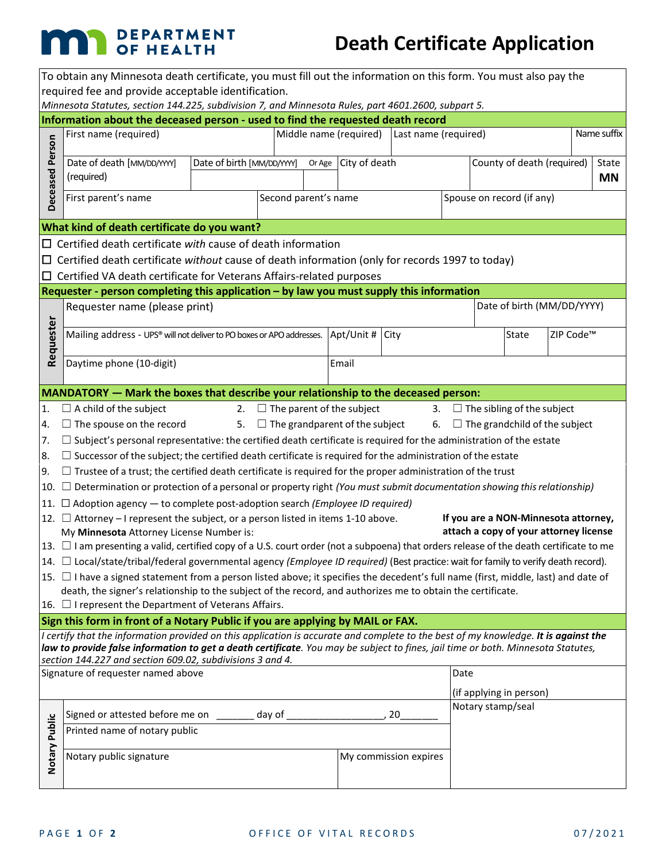## **MAN** DEPARTMENT

### **Death Certificate Application**

| To obtain any Minnesota death certificate, you must fill out the information on this form. You must also pay the                                                                                                                                                                                                                                          |                                                                                                                                                                           |                            |                      |                                                |                                     |                       |                                                  |                            |                                      |  |             |
|-----------------------------------------------------------------------------------------------------------------------------------------------------------------------------------------------------------------------------------------------------------------------------------------------------------------------------------------------------------|---------------------------------------------------------------------------------------------------------------------------------------------------------------------------|----------------------------|----------------------|------------------------------------------------|-------------------------------------|-----------------------|--------------------------------------------------|----------------------------|--------------------------------------|--|-------------|
| required fee and provide acceptable identification.<br>Minnesota Statutes, section 144.225, subdivision 7, and Minnesota Rules, part 4601.2600, subpart 5.                                                                                                                                                                                                |                                                                                                                                                                           |                            |                      |                                                |                                     |                       |                                                  |                            |                                      |  |             |
| Information about the deceased person - used to find the requested death record                                                                                                                                                                                                                                                                           |                                                                                                                                                                           |                            |                      |                                                |                                     |                       |                                                  |                            |                                      |  |             |
|                                                                                                                                                                                                                                                                                                                                                           | First name (required)                                                                                                                                                     |                            |                      | Middle name (required)<br>Last name (required) |                                     |                       |                                                  |                            |                                      |  | Name suffix |
| Deceased Person                                                                                                                                                                                                                                                                                                                                           | Date of death [MM/DD/YYY]<br>(required)                                                                                                                                   | Date of birth [MM/DD/YYYY] | Or Age City of death |                                                |                                     |                       | County of death (required)<br>State<br><b>MN</b> |                            |                                      |  |             |
|                                                                                                                                                                                                                                                                                                                                                           | First parent's name                                                                                                                                                       |                            |                      | Second parent's name                           |                                     |                       |                                                  | Spouse on record (if any)  |                                      |  |             |
|                                                                                                                                                                                                                                                                                                                                                           | What kind of death certificate do you want?                                                                                                                               |                            |                      |                                                |                                     |                       |                                                  |                            |                                      |  |             |
| $\Box$ Certified death certificate with cause of death information                                                                                                                                                                                                                                                                                        |                                                                                                                                                                           |                            |                      |                                                |                                     |                       |                                                  |                            |                                      |  |             |
|                                                                                                                                                                                                                                                                                                                                                           | $\Box$ Certified death certificate without cause of death information (only for records 1997 to today)                                                                    |                            |                      |                                                |                                     |                       |                                                  |                            |                                      |  |             |
|                                                                                                                                                                                                                                                                                                                                                           | $\Box$ Certified VA death certificate for Veterans Affairs-related purposes                                                                                               |                            |                      |                                                |                                     |                       |                                                  |                            |                                      |  |             |
|                                                                                                                                                                                                                                                                                                                                                           | Requester - person completing this application - by law you must supply this information                                                                                  |                            |                      |                                                |                                     |                       |                                                  |                            |                                      |  |             |
|                                                                                                                                                                                                                                                                                                                                                           | Requester name (please print)                                                                                                                                             |                            |                      |                                                |                                     |                       |                                                  | Date of birth (MM/DD/YYYY) |                                      |  |             |
| Requester                                                                                                                                                                                                                                                                                                                                                 | Mailing address - UPS® will not deliver to PO boxes or APO addresses. $\vert$ Apt/Unit # $\vert$ City                                                                     |                            |                      |                                                |                                     |                       |                                                  | State                      | ZIP Code™                            |  |             |
|                                                                                                                                                                                                                                                                                                                                                           | Daytime phone (10-digit)<br>Email                                                                                                                                         |                            |                      |                                                |                                     |                       |                                                  |                            |                                      |  |             |
|                                                                                                                                                                                                                                                                                                                                                           | MANDATORY - Mark the boxes that describe your relationship to the deceased person:                                                                                        |                            |                      |                                                |                                     |                       |                                                  |                            |                                      |  |             |
|                                                                                                                                                                                                                                                                                                                                                           | 1. $\Box$ A child of the subject                                                                                                                                          |                            |                      |                                                | 2. $\Box$ The parent of the subject |                       |                                                  |                            | 3. $\Box$ The sibling of the subject |  |             |
|                                                                                                                                                                                                                                                                                                                                                           | 4. $\Box$ The spouse on the record<br>5. $\Box$ The grandparent of the subject<br>6. $\Box$ The grandchild of the subject                                                 |                            |                      |                                                |                                     |                       |                                                  |                            |                                      |  |             |
| 7.                                                                                                                                                                                                                                                                                                                                                        | $\Box$ Subject's personal representative: the certified death certificate is required for the administration of the estate                                                |                            |                      |                                                |                                     |                       |                                                  |                            |                                      |  |             |
|                                                                                                                                                                                                                                                                                                                                                           | $ 8. \quad \Box$ Successor of the subject; the certified death certificate is required for the administration of the estate                                               |                            |                      |                                                |                                     |                       |                                                  |                            |                                      |  |             |
|                                                                                                                                                                                                                                                                                                                                                           | $\vert 9.$ $\Box$ Trustee of a trust; the certified death certificate is required for the proper administration of the trust                                              |                            |                      |                                                |                                     |                       |                                                  |                            |                                      |  |             |
|                                                                                                                                                                                                                                                                                                                                                           | 10. $\Box$ Determination or protection of a personal or property right (You must submit documentation showing this relationship)                                          |                            |                      |                                                |                                     |                       |                                                  |                            |                                      |  |             |
|                                                                                                                                                                                                                                                                                                                                                           | $ 11. \Box$ Adoption agency — to complete post-adoption search ( <i>Employee ID required</i> )                                                                            |                            |                      |                                                |                                     |                       |                                                  |                            |                                      |  |             |
|                                                                                                                                                                                                                                                                                                                                                           | If you are a NON-Minnesota attorney,<br>12. $\Box$ Attorney – I represent the subject, or a person listed in items 1-10 above.                                            |                            |                      |                                                |                                     |                       |                                                  |                            |                                      |  |             |
|                                                                                                                                                                                                                                                                                                                                                           | attach a copy of your attorney license<br>My Minnesota Attorney License Number is:                                                                                        |                            |                      |                                                |                                     |                       |                                                  |                            |                                      |  |             |
|                                                                                                                                                                                                                                                                                                                                                           | 13. $\Box$ I am presenting a valid, certified copy of a U.S. court order (not a subpoena) that orders release of the death certificate to me                              |                            |                      |                                                |                                     |                       |                                                  |                            |                                      |  |             |
|                                                                                                                                                                                                                                                                                                                                                           | $\vert$ 14. $\Box$ Local/state/tribal/federal governmental agency (Employee ID required) (Best practice: wait for family to verify death record).                         |                            |                      |                                                |                                     |                       |                                                  |                            |                                      |  |             |
|                                                                                                                                                                                                                                                                                                                                                           | 15. $□$ I have a signed statement from a person listed above; it specifies the decedent's full name (first, middle, last) and date of                                     |                            |                      |                                                |                                     |                       |                                                  |                            |                                      |  |             |
|                                                                                                                                                                                                                                                                                                                                                           | death, the signer's relationship to the subject of the record, and authorizes me to obtain the certificate.<br>16. $\Box$ I represent the Department of Veterans Affairs. |                            |                      |                                                |                                     |                       |                                                  |                            |                                      |  |             |
|                                                                                                                                                                                                                                                                                                                                                           |                                                                                                                                                                           |                            |                      |                                                |                                     |                       |                                                  |                            |                                      |  |             |
| Sign this form in front of a Notary Public if you are applying by MAIL or FAX.<br>I certify that the information provided on this application is accurate and complete to the best of my knowledge. It is against the<br>law to provide false information to get a death certificate. You may be subject to fines, jail time or both. Minnesota Statutes, |                                                                                                                                                                           |                            |                      |                                                |                                     |                       |                                                  |                            |                                      |  |             |
|                                                                                                                                                                                                                                                                                                                                                           | section 144.227 and section 609.02, subdivisions 3 and 4.                                                                                                                 |                            |                      |                                                |                                     |                       |                                                  |                            |                                      |  |             |
|                                                                                                                                                                                                                                                                                                                                                           | Signature of requester named above                                                                                                                                        |                            |                      |                                                |                                     |                       | Date                                             |                            | (if applying in person)              |  |             |
|                                                                                                                                                                                                                                                                                                                                                           |                                                                                                                                                                           |                            |                      |                                                |                                     |                       |                                                  |                            | Notary stamp/seal                    |  |             |
|                                                                                                                                                                                                                                                                                                                                                           | Signed or attested before me on _______ day of ______________                                                                                                             |                            |                      |                                                |                                     | 20                    |                                                  |                            |                                      |  |             |
|                                                                                                                                                                                                                                                                                                                                                           | Printed name of notary public                                                                                                                                             |                            |                      |                                                |                                     |                       |                                                  |                            |                                      |  |             |
| Notary Public                                                                                                                                                                                                                                                                                                                                             | Notary public signature                                                                                                                                                   |                            |                      |                                                |                                     | My commission expires |                                                  |                            |                                      |  |             |
|                                                                                                                                                                                                                                                                                                                                                           |                                                                                                                                                                           |                            |                      |                                                |                                     |                       |                                                  |                            |                                      |  |             |